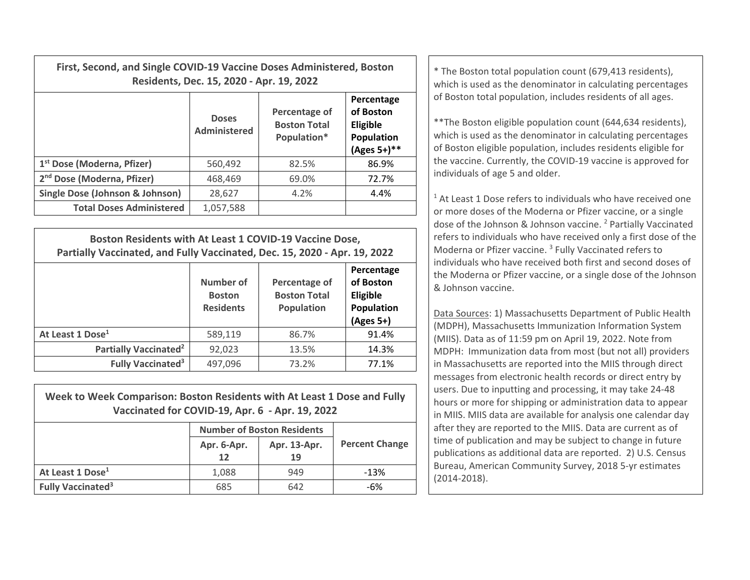| First, Second, and Single COVID-19 Vaccine Doses Administered, Boston | Residents, Dec. 15, 2020 - Apr. 19, 2022 | * The Boston total population count (679,413 residents),<br>which is used as the denominator in calculating percentages |                                                                            |                                                                                                                                                                                                                                                              |  |
|-----------------------------------------------------------------------|------------------------------------------|-------------------------------------------------------------------------------------------------------------------------|----------------------------------------------------------------------------|--------------------------------------------------------------------------------------------------------------------------------------------------------------------------------------------------------------------------------------------------------------|--|
|                                                                       | <b>Doses</b><br>Administered             | Percentage of<br><b>Boston Total</b><br>Population*                                                                     | Percentage<br>of Boston<br><b>Eligible</b><br>Population<br>$(Ages 5+)$ ** | of Boston total population, includes residents of all ages.<br>** The Boston eligible population count (644,634 residents),<br>which is used as the denominator in calculating percentages<br>of Boston eligible population, includes residents eligible for |  |
| 1 <sup>st</sup> Dose (Moderna, Pfizer)                                | 560,492                                  | 82.5%                                                                                                                   | 86.9%                                                                      | the vaccine. Currently, the COVID-19 vaccine is approved for                                                                                                                                                                                                 |  |
| 2 <sup>nd</sup> Dose (Moderna, Pfizer)                                | 468,469                                  | 69.0%                                                                                                                   | 72.7%                                                                      | individuals of age 5 and older.                                                                                                                                                                                                                              |  |
| Single Dose (Johnson & Johnson)                                       | 28,627                                   | 4.2%                                                                                                                    | 4.4%                                                                       | <sup>1</sup> At Least 1 Dose refers to individuals who have received on                                                                                                                                                                                      |  |
| <b>Total Doses Administered</b>                                       | 1,057,588                                |                                                                                                                         |                                                                            | or more doses of the Moderna or Pfizer vaccine, or a single                                                                                                                                                                                                  |  |

| Boston Residents with At Least 1 COVID-19 Vaccine Dose,<br>Partially Vaccinated, and Fully Vaccinated, Dec. 15, 2020 - Apr. 19, 2022 |                                                |                                                           |                                                                  |  |  |  |
|--------------------------------------------------------------------------------------------------------------------------------------|------------------------------------------------|-----------------------------------------------------------|------------------------------------------------------------------|--|--|--|
|                                                                                                                                      | Number of<br><b>Boston</b><br><b>Residents</b> | Percentage of<br><b>Boston Total</b><br><b>Population</b> | Percentage<br>of Boston<br>Eligible<br>Population<br>$(Ages 5+)$ |  |  |  |
| At Least 1 Dose <sup>1</sup>                                                                                                         | 589,119                                        | 86.7%                                                     | 91.4%                                                            |  |  |  |
| Partially Vaccinated <sup>2</sup>                                                                                                    | 92,023                                         | 13.5%                                                     | 14.3%                                                            |  |  |  |
| <b>Fully Vaccinated<sup>3</sup></b>                                                                                                  | 497,096                                        | 73.2%                                                     | 77.1%                                                            |  |  |  |

| Week to Week Comparison: Boston Residents with At Least 1 Dose and Fully<br>Vaccinated for COVID-19, Apr. 6 - Apr. 19, 2022 |                                   |              |                       |  |  |  |  |
|-----------------------------------------------------------------------------------------------------------------------------|-----------------------------------|--------------|-----------------------|--|--|--|--|
|                                                                                                                             | <b>Number of Boston Residents</b> |              |                       |  |  |  |  |
|                                                                                                                             | Apr. 6-Apr.                       | Apr. 13-Apr. | <b>Percent Change</b> |  |  |  |  |
|                                                                                                                             | 12                                | 19           |                       |  |  |  |  |
| At Least 1 Dose <sup>1</sup>                                                                                                | 1,088                             | 949          | $-13%$                |  |  |  |  |
| <b>Fully Vaccinated<sup>3</sup></b>                                                                                         | 685                               | 642          | -6%                   |  |  |  |  |

 $1$  At Least 1 Dose refers to individuals who have received one or more doses of the Moderna or Pfizer vaccine, or <sup>a</sup> single dose of the Johnson & Johnson vaccine. <sup>2</sup> Partially Vaccinated refers to individuals who have received only <sup>a</sup> first dose of the Moderna or Pfizer vaccine. <sup>3</sup> Fully Vaccinated refers to individuals who have received both first and second doses of the Moderna or Pfizer vaccine, or <sup>a</sup> single dose of the Johnson & Johnson vaccine.

Data Sources: 1) Massachusetts Department of Public Health (MDPH), Massachusetts Immunization Information System (MIIS). Data as of 11:59 pm on April 19, 2022. Note from MDPH: Immunization data from most (but not all) providers in Massachusetts are reported into the MIIS through direct messages from electronic health records or direct entry by users. Due to inputting and processing, it may take 24‐48 hours or more for shipping or administration data to appear in MIIS. MIIS data are available for analysis one calendar day after they are reported to the MIIS. Data are current as of time of publication and may be subject to change in future publications as additional data are reported. 2) U.S. Census Bureau, American Community Survey, 2018 5‐yr estimates (2014‐2018).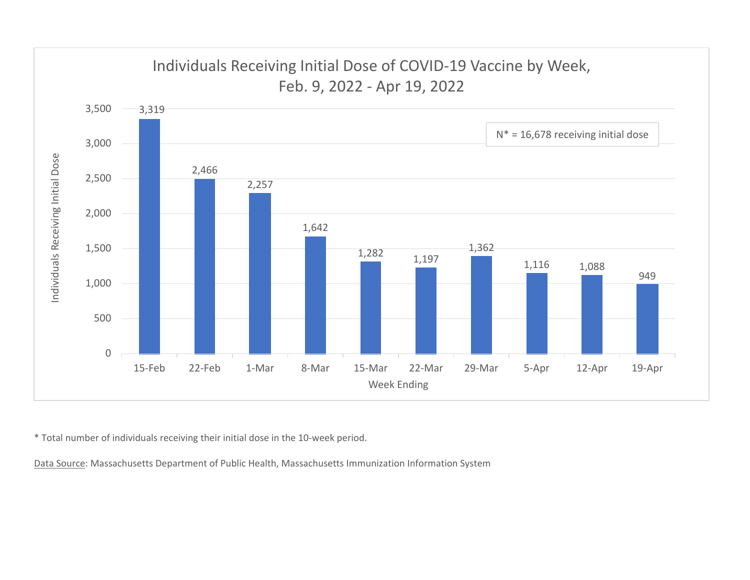

\* Total number of individuals receiving their initial dose in the 10‐week period.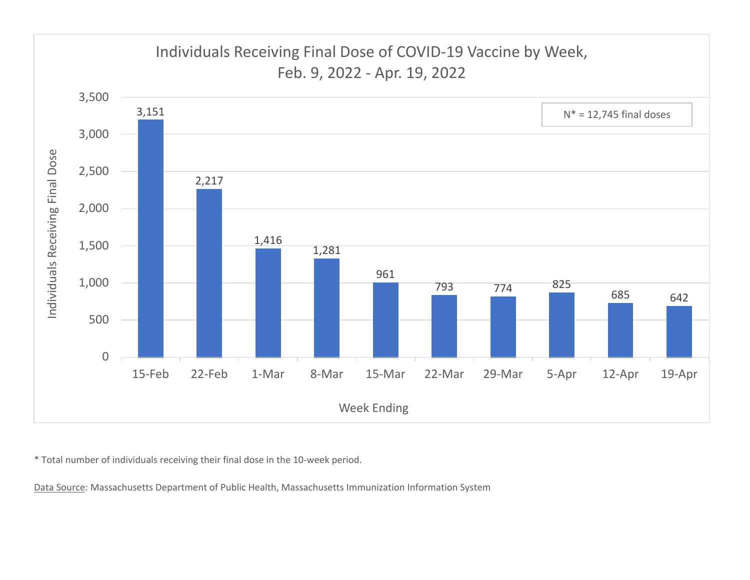

\* Total number of individuals receiving their final dose in the 10‐week period.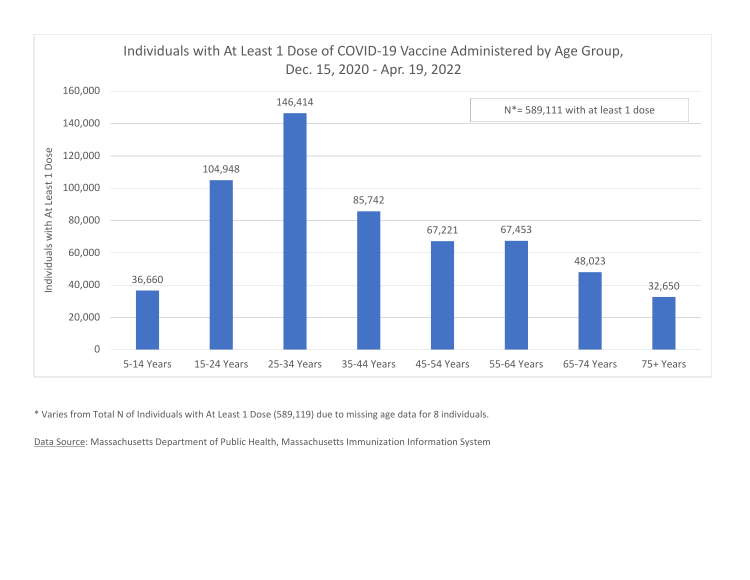

\* Varies from Total N of Individuals with At Least 1 Dose (589,119) due to missing age data for 8 individuals.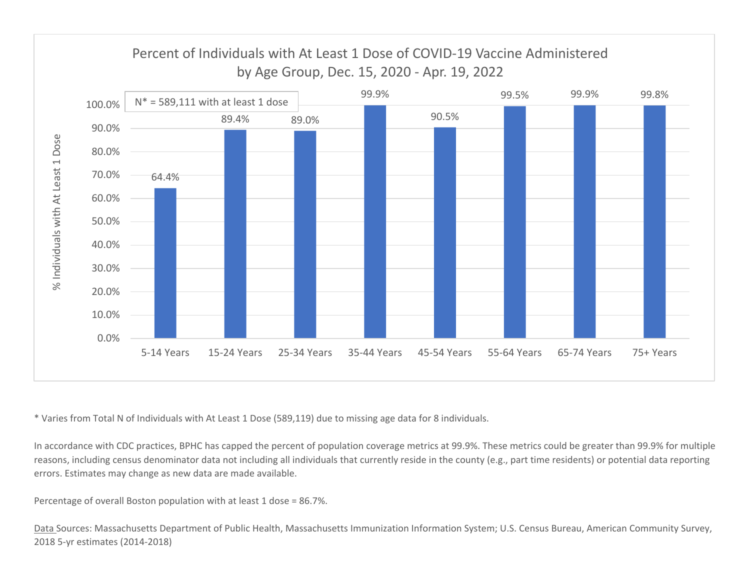

\* Varies from Total N of Individuals with At Least 1 Dose (589,119) due to missing age data for 8 individuals.

In accordance with CDC practices, BPHC has capped the percent of population coverage metrics at 99.9%. These metrics could be greater than 99.9% for multiple reasons, including census denominator data not including all individuals that currently reside in the county (e.g., part time residents) or potential data reporting errors. Estimates may change as new data are made available.

Percentage of overall Boston population with at least 1 dose <sup>=</sup> 86.7%.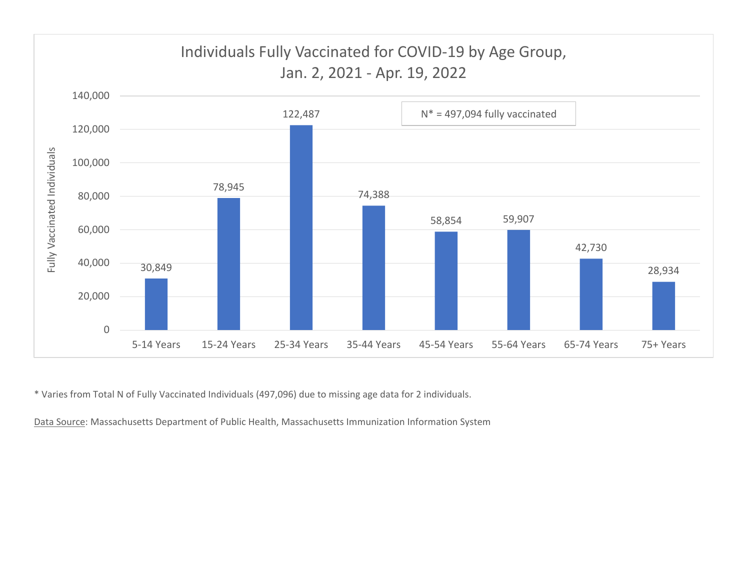

\* Varies from Total N of Fully Vaccinated Individuals (497,096) due to missing age data for 2 individuals.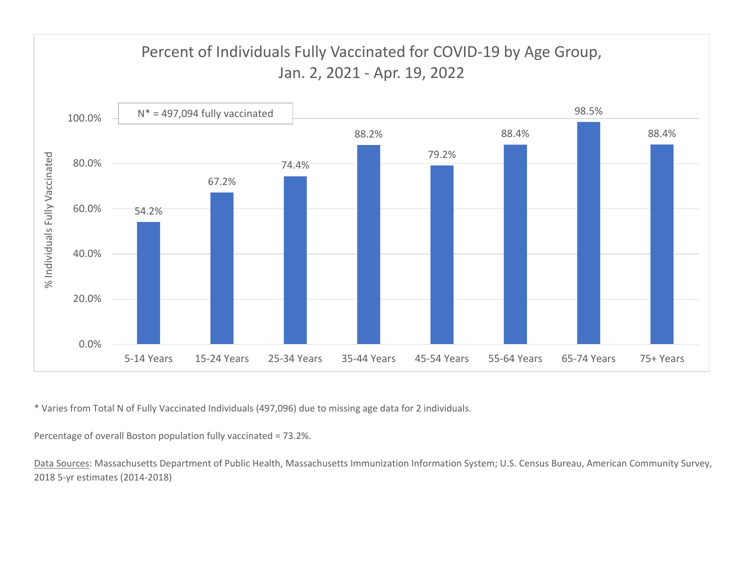

\* Varies from Total N of Fully Vaccinated Individuals (497,096) due to missing age data for 2 individuals.

Percentage of overall Boston population fully vaccinated <sup>=</sup> 73.2%.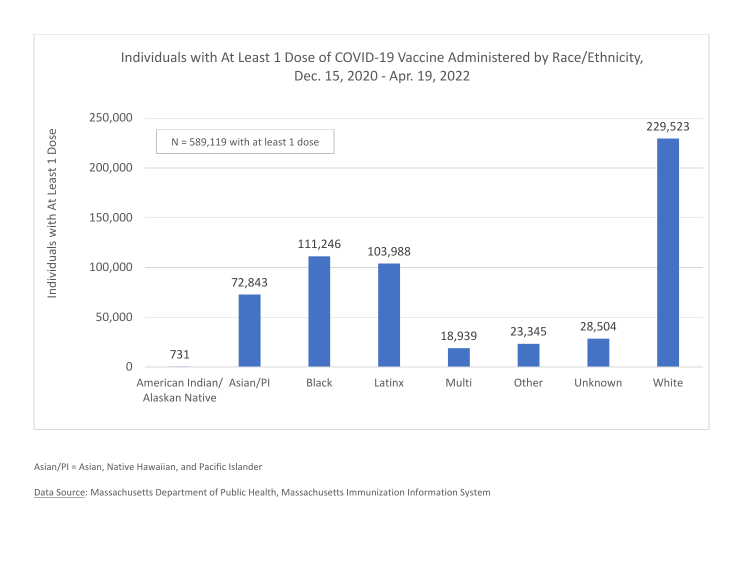

Asian/PI <sup>=</sup> Asian, Native Hawaiian, and Pacific Islander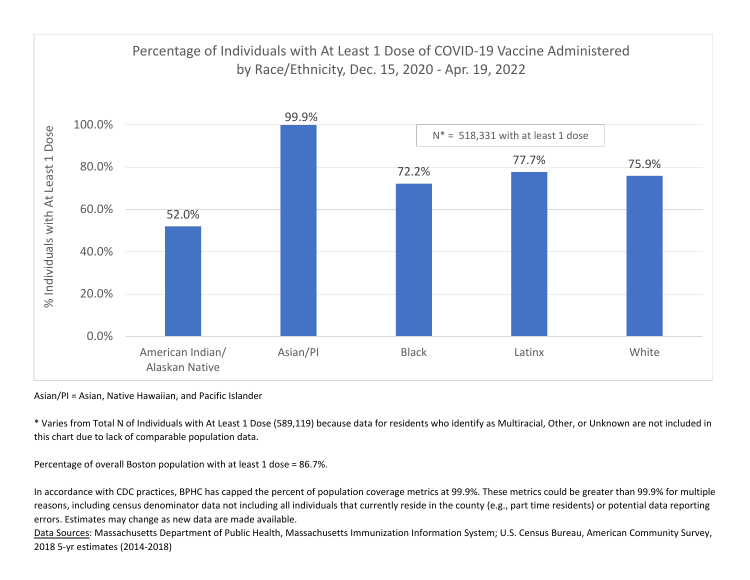

Asian/PI <sup>=</sup> Asian, Native Hawaiian, and Pacific Islander

\* Varies from Total N of Individuals with At Least 1 Dose (589,119) because data for residents who identify as Multiracial, Other, or Unknown are not included in this chart due to lack of comparable population data.

Percentage of overall Boston population with at least 1 dose <sup>=</sup> 86.7%.

In accordance with CDC practices, BPHC has capped the percent of population coverage metrics at 99.9%. These metrics could be greater than 99.9% for multiple reasons, including census denominator data not including all individuals that currently reside in the county (e.g., part time residents) or potential data reporting errors. Estimates may change as new data are made available.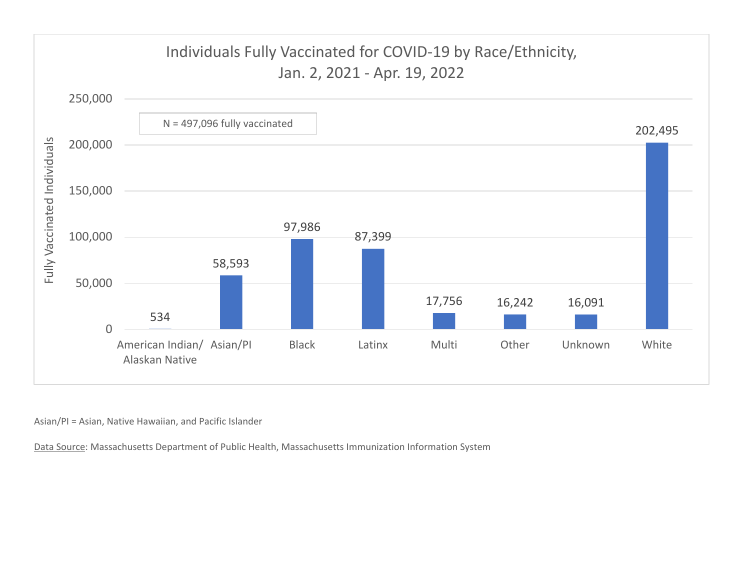

Asian/PI <sup>=</sup> Asian, Native Hawaiian, and Pacific Islander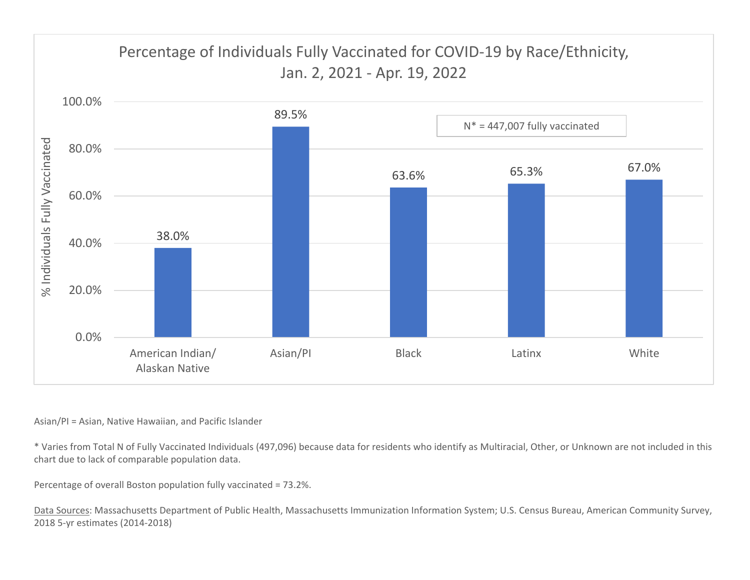

## Asian/PI <sup>=</sup> Asian, Native Hawaiian, and Pacific Islander

\* Varies from Total N of Fully Vaccinated Individuals (497,096) because data for residents who identify as Multiracial, Other, or Unknown are not included in this chart due to lack of comparable population data.

Percentage of overall Boston population fully vaccinated <sup>=</sup> 73.2%.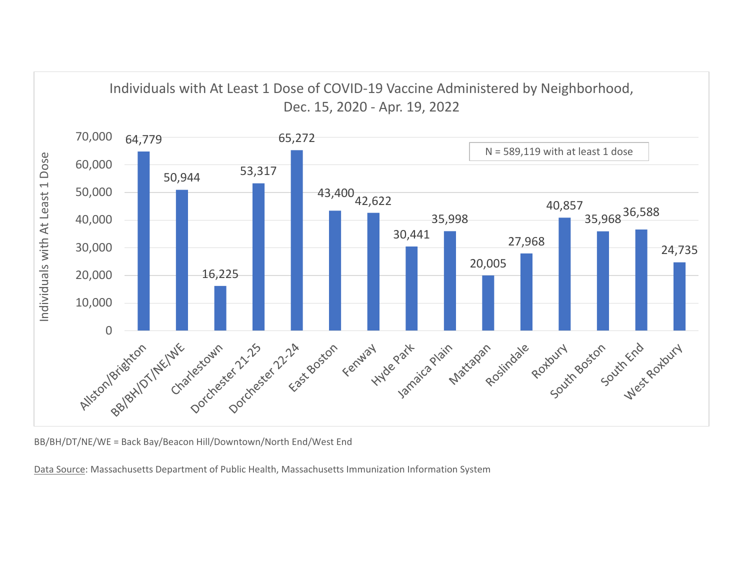

BB/BH/DT/NE/WE <sup>=</sup> Back Bay/Beacon Hill/Downtown/North End/West End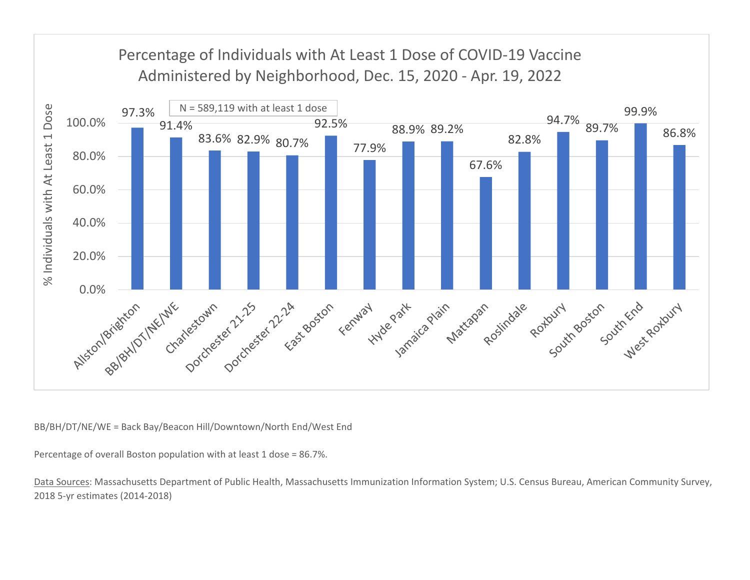

BB/BH/DT/NE/WE <sup>=</sup> Back Bay/Beacon Hill/Downtown/North End/West End

Percentage of overall Boston population with at least 1 dose <sup>=</sup> 86.7%.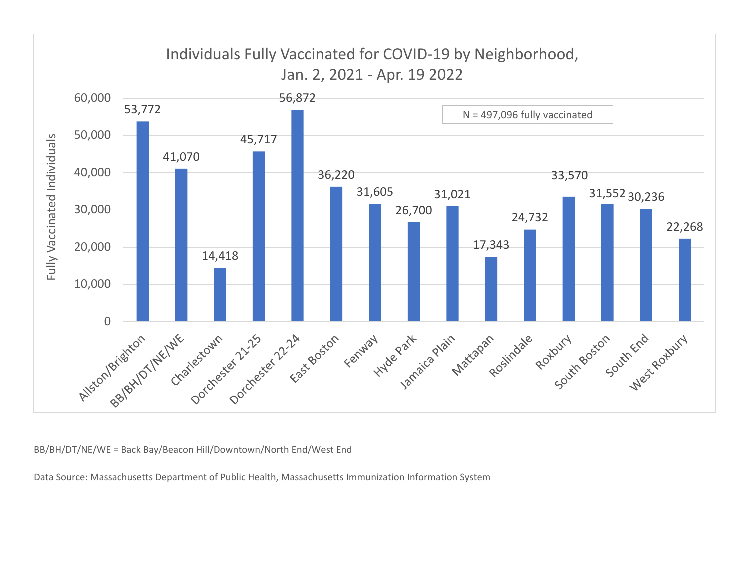

BB/BH/DT/NE/WE <sup>=</sup> Back Bay/Beacon Hill/Downtown/North End/West End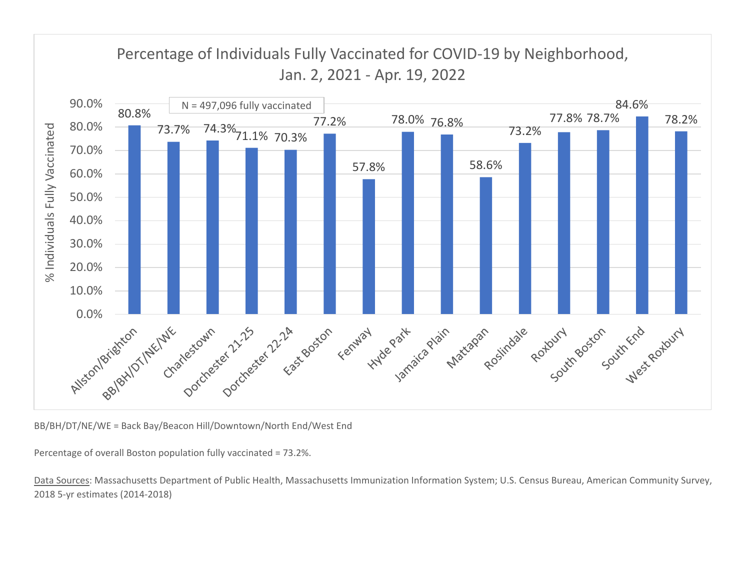

BB/BH/DT/NE/WE <sup>=</sup> Back Bay/Beacon Hill/Downtown/North End/West End

Percentage of overall Boston population fully vaccinated <sup>=</sup> 73.2%.